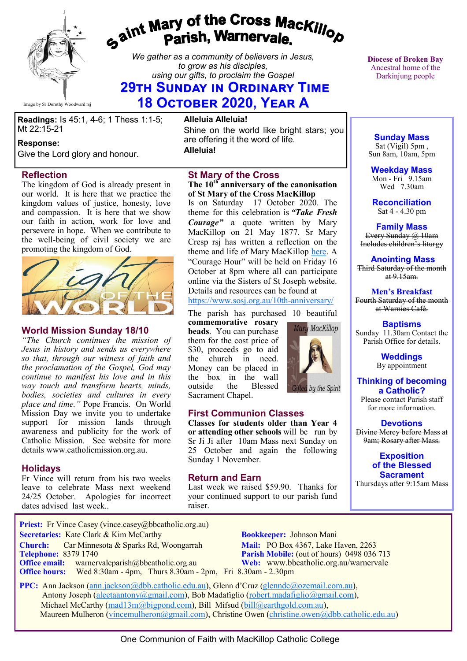

# gaint Mary of the Cross Mackillop<br>g<sup>aint</sup> Parish, Warnervale.

*We gather as a community of believers in Jesus, to grow as his disciples, using our gifts, to proclaim the Gospel*

## **29th Sunday in Ordinary Time 18 October 2020, Year A**

**Readings:** Is 45:1, 4-6; 1 Thess 1:1-5; Mt 22:15-21

### **Response:**

Give the Lord glory and honour.

### **Reflection**

The kingdom of God is already present in our world. It is here that we practice the kingdom values of justice, honesty, love and compassion. It is here that we show our faith in action, work for love and persevere in hope. When we contribute to the well-being of civil society we are promoting the kingdom of God.



### **World Mission Sunday 18/10**

*"The Church continues the mission of Jesus in history and sends us everywhere so that, through our witness of faith and the proclamation of the Gospel, God may continue to manifest his love and in this way touch and transform hearts, minds, bodies, societies and cultures in every place and time."* Pope Francis. On World Mission Day we invite you to undertake support for mission lands through awareness and publicity for the work of Catholic Mission. See website for more details www.catholicmission.org.au.

### **Holidays**

Fr Vince will return from his two weeks leave to celebrate Mass next weekend 24/25 October. Apologies for incorrect dates advised last week..

**Alleluia Alleluia!** Shine on the world like bright stars; you are offering it the word of life. **Alleluia!**

### **St Mary of the Cross**

### **The 10th anniversary of the canonisation of St Mary of the Cross MacKillop**

Is on Saturday 17 October 2020. The theme for this celebration is *"Take Fresh Courage"* a quote written by Mary MacKillop on 21 May 1877. Sr Mary Cresp rsj has written a reflection on the theme and life of Mary MacKillop [here.](https://www.sosj.org.au/mmk-take-fresh-courage-20/) A "Courage Hour" will be held on Friday 16 October at 8pm where all can participate online via the Sisters of St Joseph website. Details and resources can be found at

### [https://www.sosj.org.au/10th](https://bbcatholic.us8.list-manage.com/track/click?u=466af249e088db70ab864d088&id=9fc212cfe1&e=082a8c9b01)-anniversary/

The parish has purchased 10 beautiful **commemorative rosary** 

**beads**. You can purchase them for the cost price of \$30, proceeds go to aid the church in need. Money can be placed in the box in the wall outside the Blessed Sacrament Chapel.



by the Spirit

### **First Communion Classes**

**Classes for students older than Year 4 or attending other schools** will be run by Sr Ji Ji after 10am Mass next Sunday on 25 October and again the following Sunday 1 November.

### **Return and Earn**

Last week we raised \$59.90. Thanks for your continued support to our parish fund raiser.

**Diocese of Broken Bay**  Ancestral home of the Darkinjung people

**Sunday Mass** Sat (Vigil) 5pm , Sun 8am, 10am, 5pm

**Weekday Mass** Mon - Fri  $9.15$ am Wed 7.30am

**Reconciliation** Sat 4 - 4.30 pm

**Family Mass**  Every Sunday @ 10am Includes children's liturgy

**Anointing Mass** Third Saturday of the month at  $9.15$ am.

**Men's Breakfast** Fourth Saturday of the month at Warnies Café.

**Baptisms** Sunday 11.30am Contact the Parish Office for details.

> **Weddings**  By appointment

**Thinking of becoming a Catholic?** Please contact Parish staff

for more information.

### **Devotions** Divine Mercy before Mass at

9am; Rosary after Mass.

**Exposition of the Blessed Sacrament** Thursdays after 9:15am Mass

**Priest:** Fr Vince Casey (vince.casey@bbcatholic.org.au)  **Secretaries:** Kate Clark & Kim McCarthy **Bookkeeper:** Johnson Mani **Church:** Car Minnesota & Sparks Rd, Woongarrah **Mail:** PO Box 4367, Lake Haven, 2263<br> **Telephone:** 8379 1740 **Parish Mobile:** (out of hours) 0498 036

**Office email:** warnervaleparish@bbcatholic.org.au **Web:** [www.bbcatholic.org.au/warnervale](https://www.bbcatholic.org.au/warnervale) **Office hours:** Wed 8:30am - 4pm, Thurs 8.30am - 2pm, Fri 8.30am - 2.30pm

**Parish Mobile:** (out of hours) 0498 036 713

 **PPC:** Ann Jackson ([ann.jackson@dbb.catholic.edu.au\),](mailto:ann.jackson@dbb.catholic.edu.au) Glenn d'Cruz ([glenndc@ozemail.com.au\)](mailto:glenndc@ozemail.com.au), Antony Joseph ([aleetaantony@gmail.com\),](mailto:aleetaantony@gmail.com) Bob Madafiglio [\(robert.madafiglio@gmail.com\),](mailto:robert.madafiglio@gmail.com) Michael McCarthy ([mad13m@bigpond.com\)](mailto:mad13m@bigpond.com), Bill Mifsud ([bill@earthgold.com.au\),](mailto:bill@earthgold.com.au) Maureen Mulheron ([vincemulheron@gmail.com\)](mailto:vincemulheron@gmail.com), Christine Owen (christine.owen[@dbb.catholic.edu.au\)](mailto:ann.jackson@dbb.catholic.edu.au)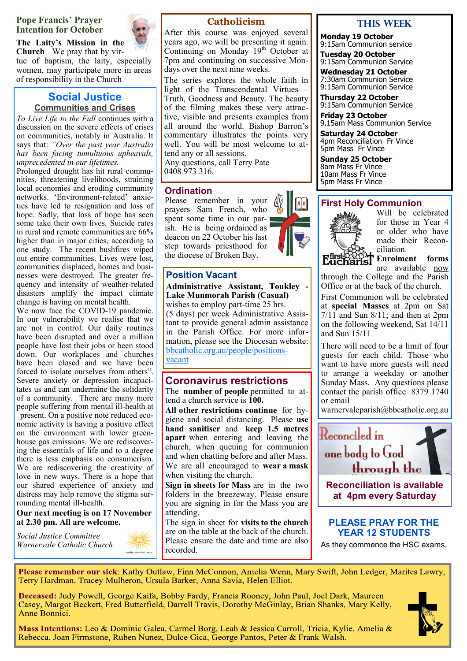### **Pope Francis' Prayer Intention for October**

**The Laity's Mission in the Church** We pray that by virtue of baptism, the laity, especially women, may participate more in areas of responsibility in the Church

### **Social Justice Communities and Crises**

*To Live Life to the Full* continues with a discussion on the severe effects of crises on communities, notably in Australia. It says that: *"Over the past year Australia has been facing tumultuous upheavals, unprecedented in our lifetimes.*

Prolonged drought has hit rural communities, threatening livelihoods, straining local economies and eroding community networks. 'Environment-related' anxieties have led to resignation and loss of hope. Sadly, that loss of hope has seen some take their own lives. Suicide rates in rural and remote communities are 66% higher than in major cities, according to one study. The recent bushfires wiped out entire communities. Lives were lost, communities displaced, homes and businesses were destroyed. The greater frequency and intensity of weather-related disasters amplify the impact climate change is having on mental health.

We now face the COVID-19 pandemic. In our vulnerability we realise that we are not in control. Our daily routines have been disrupted and over a million people have lost their jobs or been stood down. Our workplaces and churches have been closed and we have been forced to isolate ourselves from others". Severe anxiety or depression incapacitates us and can undermine the solidarity of a community. There are many more people suffering from mental ill-health at present. On a positive note reduced economic activity is having a positive effect on the environment with lower greenhouse gas emissions. We are rediscovering the essentials of life and to a degree there is less emphasis on consumerism. We are rediscovering the creativity of love in new ways. There is a hope that our shared experience of anxiety and distress may help remove the stigma surrounding mental ill-health.

### **Our next meeting is on 17 November at 2.30 pm. All are welcome.**

holic Social Just

*Social Justice Committee Warnervale Catholic Church*



### **Catholicism**

After this course was enjoyed several years ago, we will be presenting it again. Continuing on Monday 19<sup>th</sup> October at 7pm and continuing on successive Mondays over the next nine weeks.

The series explores the whole faith in light of the Transcendental Virtues – Truth, Goodness and Beauty. The beauty of the filming makes these very attractive, visible and presents examples from all around the world. Bishop Barron's commentary illustrates the points very well. You will be most welcome to attend any or all sessions.

Any questions, call Terry Pate 0408 973 316.

### **Ordination**

Please remember in your prayers Sam French, who spent some time in our parish. He is being ordained as deacon on 22 October his last step towards priesthood for the diocese of Broken Bay.



## **Administrative Assistant, Toukley -**

**Lake Munmorah Parish (Casual)** wishes to employ part-time 25 hrs. (5 days) per week Administrative Assistant to provide general admin assistance in the Parish Office. For more information, please see the Diocesan website: [bbcatholic.org.au/people/positions](https://www.bbcatholic.org.au/people/positions-vacant)[vacant](https://www.bbcatholic.org.au/people/positions-vacant)

### **Coronavirus restrictions**

The **number of people** permitted to attend a church service is **100.** 

**All other restrictions continue** for hygiene and social distancing. Please **use hand sanitiser** and **keep 1.5 metres apart** when entering and leaving the church, when queuing for communion and when chatting before and after Mass. We are all encouraged to **wear a mask**  when visiting the church.

**Sign in sheets for Mass** are in the two folders in the breezeway. Please ensure you are signing in for the Mass you are attending.

The sign in sheet for **visits to the church**  are on the table at the back of the church. Please ensure the date and time are also recorded.

### **This WeeK**

**Monday 19 October** 9:15am Communion service

**Tuesday 20 October** 9:15am Communion Service

**Wednesday 21 October** 7:30am Communion Service 9:15am Communion Service

**Thursday 22 October** 9:15am Communion Service

**Friday 23 October** 9.15am Mass Communion Service

**Saturday 24 October** 4pm Reconciliation Fr Vince 5pm Mass Fr Vince

**Sunday 25 October** 8am Mass Fr Vince 10am Mass Fr Vince 5pm Mass Fr Vince

### **First Holy Communion**



Will be celebrated for those in Year 4 or older who have made their Reconciliation.

**Enrolment forms** are available now through the College and the Parish Office or at the back of the church.

First Communion will be celebrated at **special Masses** at 2pm on Sat  $7/11$  and Sun  $8/11$ ; and then at 2pm on the following weekend, Sat 14/11 and Sun 15/11

There will need to be a limit of four guests for each child. Those who want to have more guests will need to arrange a weekday or another Sunday Mass. Any questions please contact the parish office 8379 1740 or email

warnervaleparish@bbcatholic.org.au



**at 4pm every Saturday**

**PLEASE PRAY FOR THE YEAR 12 STUDENTS**

As they commence the HSC exams.

Please remember our sick: Kathy Outlaw, Finn McConnon, Amelia Wenn, Mary Swift, John Ledger, Marites Lawry, Terry Hardman, Tracey Mulheron, Ursula Barker, Anna Savia, Helen Elliot.

Deceased: Judy Powell, George Kaifa, Bobby Fardy, Francis Rooney, John Paul, Joel Dark, Maureen Casey, Margot Beckett, Fred Butterfield, Darrell Travis, Dorothy McGinlay, Brian Shanks, Mary Kelly, Anne Bonnici.



Mass Intentions: Leo & Dominic Galea, Carmel Borg, Leah & Jessica Carroll, Tricia, Kylie, Amelia & Rebecca, Joan Firmstone, Ruben Nunez, Dulce Gica, George Pantos, Peter & Frank Walsh.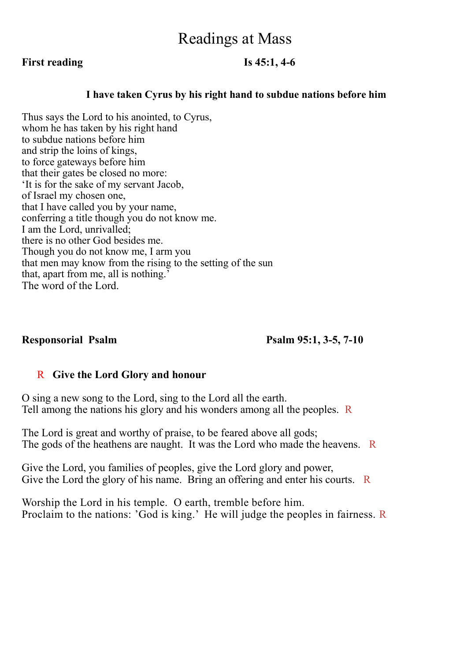## Readings at Mass

### **First reading Is 45:1, 4-6**

### **I have taken Cyrus by his right hand to subdue nations before him**

Thus says the Lord to his anointed, to Cyrus, whom he has taken by his right hand to subdue nations before him and strip the loins of kings, to force gateways before him that their gates be closed no more: 'It is for the sake of my servant Jacob, of Israel my chosen one, that I have called you by your name, conferring a title though you do not know me. I am the Lord, unrivalled; there is no other God besides me. Though you do not know me, I arm you that men may know from the rising to the setting of the sun that, apart from me, all is nothing.' The word of the Lord.

**Responsorial Psalm Psalm 95:1, 3-5, 7-10** 

### R **Give the Lord Glory and honour**

O sing a new song to the Lord, sing to the Lord all the earth. Tell among the nations his glory and his wonders among all the peoples. R

The Lord is great and worthy of praise, to be feared above all gods; The gods of the heathens are naught. It was the Lord who made the heavens. R

Give the Lord, you families of peoples, give the Lord glory and power, Give the Lord the glory of his name. Bring an offering and enter his courts. R

Worship the Lord in his temple. O earth, tremble before him. Proclaim to the nations: 'God is king.' He will judge the peoples in fairness. R